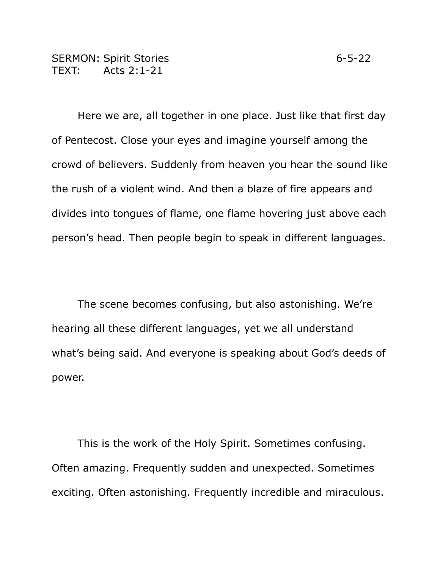Here we are, all together in one place. Just like that first day of Pentecost. Close your eyes and imagine yourself among the

crowd of believers. Suddenly from heaven you hear the sound like the rush of a violent wind. And then a blaze of fire appears and divides into tongues of flame, one flame hovering just above each person's head. Then people begin to speak in different languages.

The scene becomes confusing, but also astonishing. We're hearing all these different languages, yet we all understand what's being said. And everyone is speaking about God's deeds of power.

This is the work of the Holy Spirit. Sometimes confusing. Often amazing. Frequently sudden and unexpected. Sometimes exciting. Often astonishing. Frequently incredible and miraculous.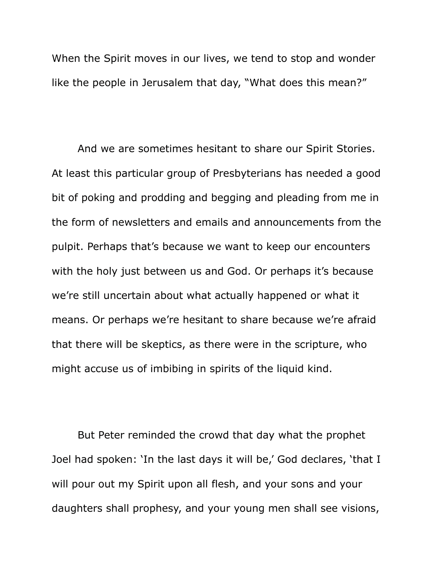When the Spirit moves in our lives, we tend to stop and wonder like the people in Jerusalem that day, "What does this mean?"

And we are sometimes hesitant to share our Spirit Stories. At least this particular group of Presbyterians has needed a good bit of poking and prodding and begging and pleading from me in the form of newsletters and emails and announcements from the pulpit. Perhaps that's because we want to keep our encounters with the holy just between us and God. Or perhaps it's because we're still uncertain about what actually happened or what it means. Or perhaps we're hesitant to share because we're afraid that there will be skeptics, as there were in the scripture, who might accuse us of imbibing in spirits of the liquid kind.

But Peter reminded the crowd that day what the prophet Joel had spoken: 'In the last days it will be,' God declares, 'that I will pour out my Spirit upon all flesh, and your sons and your daughters shall prophesy, and your young men shall see visions,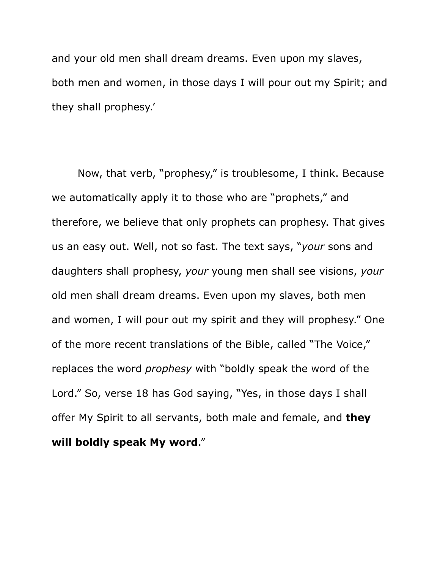and your old men shall dream dreams. Even upon my slaves, both men and women, in those days I will pour out my Spirit; and they shall prophesy.'

Now, that verb, "prophesy," is troublesome, I think. Because we automatically apply it to those who are "prophets," and therefore, we believe that only prophets can prophesy. That gives us an easy out. Well, not so fast. The text says, "*your* sons and daughters shall prophesy, *your* young men shall see visions, *your* old men shall dream dreams. Even upon my slaves, both men and women, I will pour out my spirit and they will prophesy." One of the more recent translations of the Bible, called "The Voice," replaces the word *prophesy* with "boldly speak the word of the Lord." So, verse 18 has God saying, "Yes, in those days I shall offer My Spirit to all servants, both male and female, and **they will boldly speak My word**."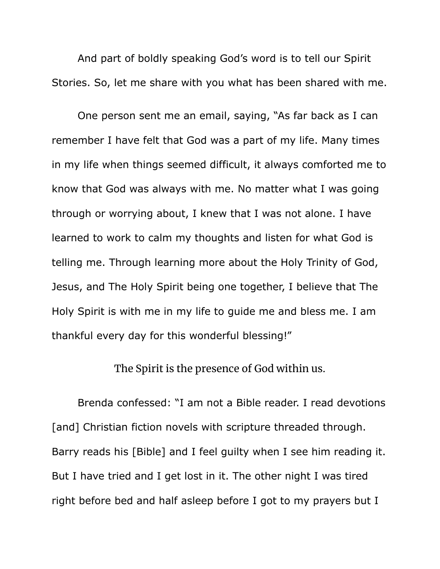And part of boldly speaking God's word is to tell our Spirit Stories. So, let me share with you what has been shared with me.

One person sent me an email, saying, "As far back as I can remember I have felt that God was a part of my life. Many times in my life when things seemed difficult, it always comforted me to know that God was always with me. No matter what I was going through or worrying about, I knew that I was not alone. I have learned to work to calm my thoughts and listen for what God is telling me. Through learning more about the Holy Trinity of God, Jesus, and The Holy Spirit being one together, I believe that The Holy Spirit is with me in my life to guide me and bless me. I am thankful every day for this wonderful blessing!"

The Spirit is the presence of God within us.

Brenda confessed: "I am not a Bible reader. I read devotions [and] Christian fiction novels with scripture threaded through. Barry reads his [Bible] and I feel guilty when I see him reading it. But I have tried and I get lost in it. The other night I was tired right before bed and half asleep before I got to my prayers but I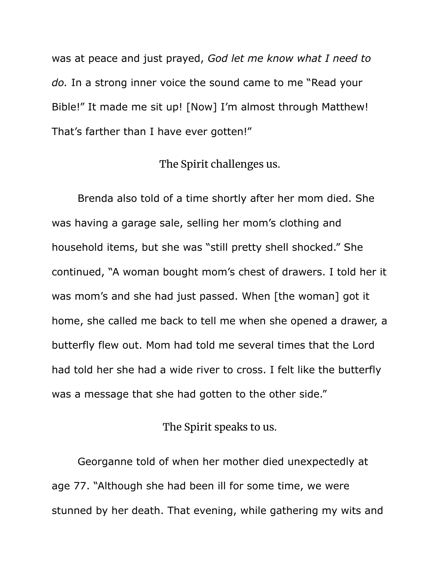was at peace and just prayed, *God let me know what I need to do.* In a strong inner voice the sound came to me "Read your Bible!" It made me sit up! [Now] I'm almost through Matthew! That's farther than I have ever gotten!"

## The Spirit challenges us.

Brenda also told of a time shortly after her mom died. She was having a garage sale, selling her mom's clothing and household items, but she was "still pretty shell shocked." She continued, "A woman bought mom's chest of drawers. I told her it was mom's and she had just passed. When [the woman] got it home, she called me back to tell me when she opened a drawer, a butterfly flew out. Mom had told me several times that the Lord had told her she had a wide river to cross. I felt like the butterfly was a message that she had gotten to the other side."

## The Spirit speaks to us.

Georganne told of when her mother died unexpectedly at age 77. "Although she had been ill for some time, we were stunned by her death. That evening, while gathering my wits and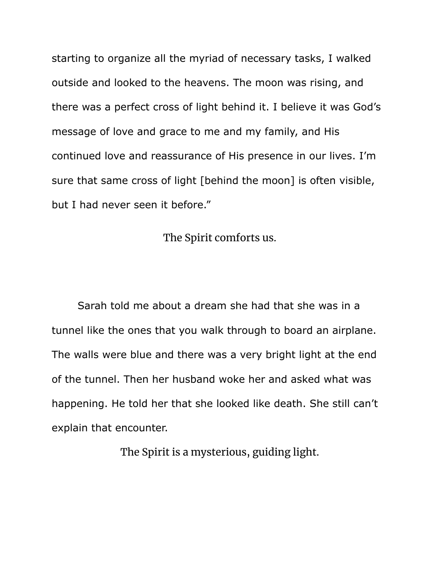starting to organize all the myriad of necessary tasks, I walked outside and looked to the heavens. The moon was rising, and there was a perfect cross of light behind it. I believe it was God's message of love and grace to me and my family, and His continued love and reassurance of His presence in our lives. I'm sure that same cross of light [behind the moon] is often visible, but I had never seen it before."

The Spirit comforts us.

Sarah told me about a dream she had that she was in a tunnel like the ones that you walk through to board an airplane. The walls were blue and there was a very bright light at the end of the tunnel. Then her husband woke her and asked what was happening. He told her that she looked like death. She still can't explain that encounter.

The Spirit is a mysterious, guiding light.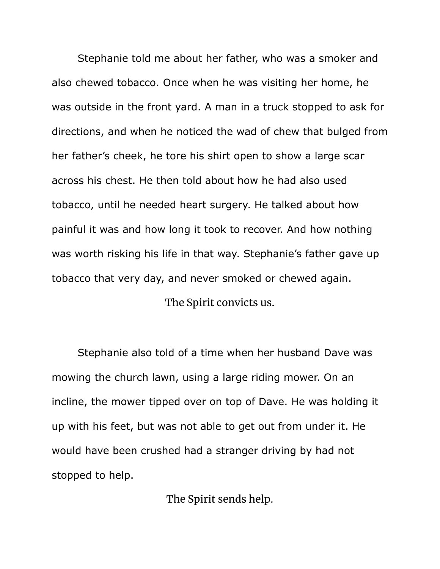Stephanie told me about her father, who was a smoker and also chewed tobacco. Once when he was visiting her home, he was outside in the front yard. A man in a truck stopped to ask for directions, and when he noticed the wad of chew that bulged from her father's cheek, he tore his shirt open to show a large scar across his chest. He then told about how he had also used tobacco, until he needed heart surgery. He talked about how painful it was and how long it took to recover. And how nothing was worth risking his life in that way. Stephanie's father gave up tobacco that very day, and never smoked or chewed again. The Spirit convicts us.

Stephanie also told of a time when her husband Dave was mowing the church lawn, using a large riding mower. On an incline, the mower tipped over on top of Dave. He was holding it up with his feet, but was not able to get out from under it. He would have been crushed had a stranger driving by had not stopped to help.

The Spirit sends help.